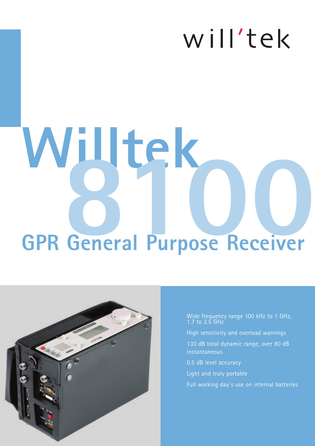## will'tek

# **GPR General Purpose Receiver Willtek 8100**



Wide frequency range 100 kHz to 1 GHz, 1.7 to 2.5 GHz

- High sensitivity and overload warnings
- 130 dB total dynamic range, over 80 dB instantaneous
- 0.5 dB level accuracy
- Light and truly portable
- Full working day´s use on internal batteries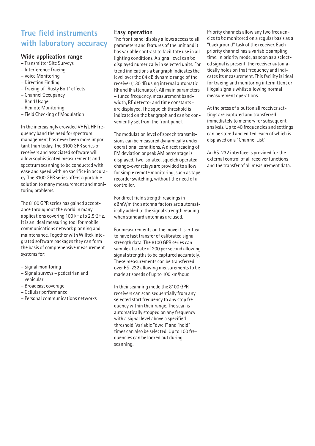#### **True field instruments with laboratory accuracy**

#### **Wide application range**

- Transmitter Site Surveys
- Interference Tracing
- Voice Monitoring
- Direction Finding
- Tracing of "Rusty Bolt" effects
- Channel Occupancy
- Band Usage
- Remote Monitoring
- Field Checking of Modulation

In the increasingly crowded VHF/UHF frequency band the need for spectrum management has never been more important than today. The 8100 GPR series of receivers and associated software will allow sophisticated measurements and spectrum scanning to be conducted with ease and speed with no sacrifice in accuracy. The 8100 GPR series offers a portable solution to many measurement and monitoring problems.

The 8100 GPR series has gained acceptance throughout the world in many applications covering 100 kHz to 2.5 GHz. It is an ideal measuring tool for mobile communications network planning and maintenance. Together with Willtek integrated software packages they can form the basis of comprehensive measurement systems for:

- Signal monitoring
- Signal surveys pedestrian and vehicular
- Broadcast coverage
- Cellular performance
- Personal communications networks

#### **Easy operation**

The front panel display allows access to all parameters and features of the unit and it has variable contrast to facilitate use in all lighting conditions. A signal level can be displayed numerically in selected units. For trend indications a bar graph indicates the level over the 84 dB dynamic range of the receiver (130 dB using internal automatic RF and IF attenuator). All main parameters – tuned frequency, measurement bandwidth, RF detector and time constants – are displayed. The squelch threshold is indicated on the bar graph and can be conveniently set from the front panel.

The modulation level of speech transmissions can be measured dynamically under operational conditions. A direct reading of FM deviation or peak AM percentage is displayed. Two isolated, squelch operated change-over relays are provided to allow for simple remote monitoring, such as tape recorder switching, without the need of a controller.

For direct field strength readings in dBmV/m the antenna factors are automatically added to the signal strength reading when standard antennas are used.

For measurements on the move it is critical to have fast transfer of calibrated signal strength data. The 8100 GPR series can sample at a rate of 200 per second allowing signal strengths to be captured accurately. These measurements can be transferred over RS-232 allowing measurements to be made at speeds of up to 100 km/hour.

In their scanning mode the 8100 GPR receivers can scan sequentially from any selected start frequency to any stop frequency within their range. The scan is automatically stopped on any frequency with a signal level above a specified threshold. Variable "dwell" and "hold" times can also be selected. Up to 100 frequencies can be locked out during scanning.

Priority channels allow any two frequencies to be monitored on a regular basis as a "background" task of the receiver. Each priority channel has a variable sampling time. In priority mode, as soon as a selected signal is present, the receiver automatically holds on that frequency and indicates its measurement. This facility is ideal for tracing and monitoring intermittent or illegal signals whilst allowing normal measurement operations.

At the press of a button all receiver settings are captured and transferred immediately to memory for subsequent analysis. Up to 40 frequencies and settings can be stored and edited, each of which is displayed on a "Channel List".

An RS-232 interface is provided for the external control of all receiver functions and the transfer of all measurement data.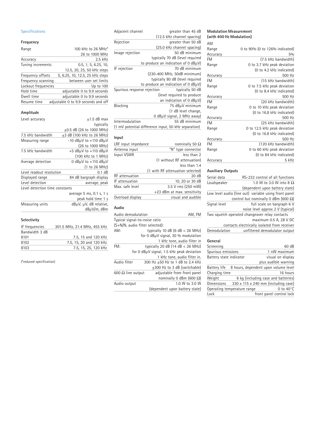#### **Specifications**

#### **Frequency**

| 100 kHz to 26 MHz*                  |
|-------------------------------------|
| 26 to 1000 MHz                      |
| $2.5$ kHz                           |
| 0.5, 1, 5, 6.25, 10,                |
| 12.5, 20, 25, 50 kHz steps          |
| 5, 6.25, 10, 12.5, 25 kHz steps     |
| between user set limits             |
| Up to 100                           |
| adjustable 0 to 9.9 seconds         |
| adjustable 0 to 9.9 seconds         |
| adjustable 0 to 9.9 seconds and off |
|                                     |

#### **Amplitude**

| Level accuracy                 | $+1.5$ dB max                         |
|--------------------------------|---------------------------------------|
|                                | typically                             |
|                                | $+0.5$ dB (26 to 1000 MHz)            |
| 7.5 kHz bandwidth              | +3 dB (100 kHz to 26 MHz)             |
| Measuring range                | $-10$ dB $\mu$ V to $+110$ dB $\mu$ V |
|                                | (26 to 1000 MHz)                      |
| 7.5 kHz bandwidth              | +5 $dB\mu V$ to +110 $dB\mu V$        |
|                                | (100 kHz to 1 MHz)                    |
| Average detection              | 0 $dB\mu V$ to $+110$ dB $\mu$ V      |
|                                | (1 to 26 MHz)                         |
| Level readout resolution       | $0.1$ dB                              |
| Displayed range                | 84 dB bargraph display                |
| Level detection                | average, peak                         |
| Level detection time constants |                                       |
|                                | average 5 ms, 0.1 s, 1 s              |

|                 | peak hold time 1 s     |
|-----------------|------------------------|
| Measuring units | dBµV, µV, dB relative, |
|                 | dBµV/m, dBm            |
|                 |                        |

#### **Selectivity**

| IF frequencies | 301.5 MHz, 21.4 MHz, 455 kHz |
|----------------|------------------------------|
| Bandwidth 3 dB |                              |
| 8101           | 7.5, 15 and 120 kHz          |
| 8102           | 7.5, 15, 20 and 120 kHz      |
| 8103           | 7.5. 15. 25. 120 kHz         |
|                |                              |

(\*reduced specification)

| greater than 45 dB                                   |
|------------------------------------------------------|
| (12.5 kHz channel spacing)                           |
| greater than 50 dB                                   |
| (25.0 kHz channel spacing)                           |
| 50 dB minimum                                        |
| typically 70 dB (level required                      |
| to produce an indication of 0 $dB\mu$ V)             |
| 70 dB minimum                                        |
| (230-400 MHz, 50dB minimum)                          |
| typically 80 dB (level required                      |
| to produce an indication of 0 $dB\mu$ V)             |
| typically 50 dB                                      |
| (level required to produce                           |
| an indication of 0 $dB\mu$ V)                        |
| 75 dBµV minimum                                      |
| (1 dB level change,                                  |
| O dBµV signal, 2 MHz away)                           |
| 55 dB minimum                                        |
| (1 mV potential difference input, 50 kHz separation) |
|                                                      |
|                                                      |

#### **Input**

| LRF input impedance | nominally 50 $\Omega$            |
|---------------------|----------------------------------|
| Antenna input       | "N" type connector               |
| Input VSWR          | less than 2                      |
|                     | (1 without RF attenuation)       |
|                     | less than 1.4                    |
|                     | (1 with RF attenuation selected) |
| RF attenuation      | 20dB                             |
| IF attenuation      | 10, 20 or 30 dB                  |
| Max. safe level     | 3.5 V rms (250 mW)               |
|                     | +23 dBm at max. sensitivity      |
| Overload display    | visual and audible               |
|                     |                                  |

#### **Audio**

| Audio demodulation              | AM, FM                                    |  |
|---------------------------------|-------------------------------------------|--|
| Typical signal-to-noise ratio   |                                           |  |
| (S+N/N, audio filter selected): |                                           |  |
| AM:                             | typically 10 dB (6 dB $<$ 26 MHz)         |  |
|                                 | for 0 $dB\mu V$ signal, 30 % modulation   |  |
|                                 | 1 kHz tone, audio filter in               |  |
| FM:                             | typically 20 dB $(14 dB < 26 MHz)$        |  |
|                                 | for 0 dBµV signal, 1.5 kHz peak deviation |  |
|                                 | 1 kHz tone, audio filter in.              |  |
| Audio filter                    | 300 Hz +50 Hz to 1 dB to 2.4 kHz          |  |
|                                 | +300 Hz to 3 dB (switchable)              |  |
| 600 $\Omega$ line output        | adjustable from front panel               |  |
|                                 | nominally 0 dBm (600 $\Omega$ )           |  |
| Audio output                    | 1.0 W to 3.0 W                            |  |
|                                 | (dependent upon battery state)            |  |
|                                 |                                           |  |

#### **Modulation Measurement (with 400 Hz Modulation)**

| AM       |                                |
|----------|--------------------------------|
| Range    | 0 to 90% (0 to 126% indicated) |
| Accuracy | 5%                             |
| FM       | (7.5 kHz bandwidth)            |
| Range    | 0 to 3.7 kHz peak deviation    |
|          | (0 to 4.2 kHz indicated)       |
| Accuracy | 500 Hz                         |
| FM       | (15 kHz bandwidth)             |
| Range    | 0 to 7.5 kHz peak deviation    |
|          | (0 to 8.4 kHz indicated)       |
| Accuracy | 500 Hz                         |
| FM       | (20 kHz bandwidth)             |
| Range    | 0 to 10 kHz peak deviation     |
|          | (0 to 16.8 kHz indicated)      |
| Accuracy | 500 Hz                         |
| FM       | (25 kHz bandwidth)             |
| Range    | 0 to 12.5 kHz peak deviation   |
|          | (0 to 16.8 kHz indicated)      |
| Accuracy | 500 Hz                         |
| FM       | (120 kHz bandwidth)            |
| Range    | 0 to 60 kHz peak deviation     |
|          | (0 to 84 kHz indicated)        |
| Accuracy | 5 kHz                          |

#### **Auxiliary Outputs**

| Serial data             | RS-232 control of all functions                       |
|-------------------------|-------------------------------------------------------|
| Loudspeaker             | 1.0 W to 3.0 W into 8 $\Omega$                        |
|                         | (dependent upon battery state)                        |
|                         | Low level audio (line out) variable using front panel |
|                         | control but nominally 0 dBm (600 $\Omega$ )           |
| Signal level            | full scale on bargraph 6 V                            |
|                         | noise level approx 2 V (typical)                      |
|                         | Two squelch operated changeover relay contacts        |
|                         | maximum 0.5 A, 28 V DC                                |
|                         | contacts electrically isolated from receiver          |
| Demodulation            | unfiltered demodulator output                         |
|                         |                                                       |
| General                 |                                                       |
| Screening               | 60 dB                                                 |
| Spurious emissions      | 1 nW maximum                                          |
| Battery state indicator | visual on display                                     |
|                         | plus audible warning                                  |
| <b>Battery life</b>     | 8 hours, dependent upon volume level                  |
| Charging time           | 16 hours                                              |
| Weight                  | 6 kg (including case and batteries)                   |
| Dimensions              | $330 \times 115 \times 240$ mm (including case)       |

Operating temperature range 0 to 40°C Lock and the state of tront panel control lock